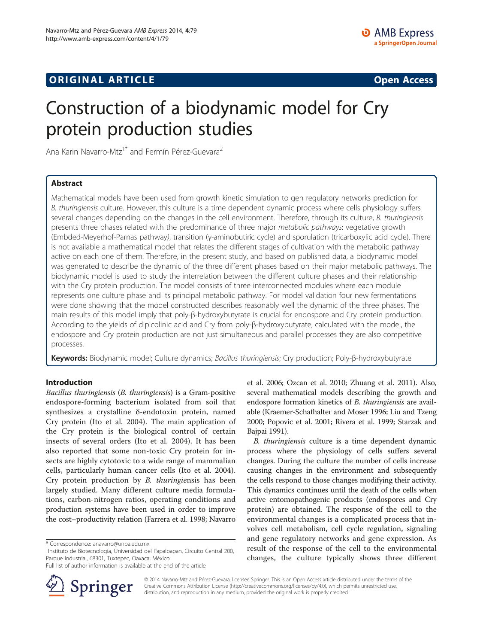## **ORIGINAL ARTICLE CONSERVANCE IN A LOCAL CONSERVANCE IN A LOCAL CONSERVANCE IN A LOCAL CONSERVANCE IN A LOCAL CONSERVANCE IN A LOCAL CONSERVANCE IN A LOCAL CONSERVANCE IN A LOCAL CONSERVANCE IN A LOCAL CONSERVANCE IN A L**

# Construction of a biodynamic model for Cry protein production studies

Ana Karin Navarro-Mtz<sup>1\*</sup> and Fermín Pérez-Guevara<sup>2</sup>

## Abstract

Mathematical models have been used from growth kinetic simulation to gen regulatory networks prediction for B. thuringiensis culture. However, this culture is a time dependent dynamic process where cells physiology suffers several changes depending on the changes in the cell environment. Therefore, through its culture, B. thuringiensis presents three phases related with the predominance of three major metabolic pathways: vegetative growth (Embded-Meyerhof-Parnas pathway), transition (γ-aminobutiric cycle) and sporulation (tricarboxylic acid cycle). There is not available a mathematical model that relates the different stages of cultivation with the metabolic pathway active on each one of them. Therefore, in the present study, and based on published data, a biodynamic model was generated to describe the dynamic of the three different phases based on their major metabolic pathways. The biodynamic model is used to study the interrelation between the different culture phases and their relationship with the Cry protein production. The model consists of three interconnected modules where each module represents one culture phase and its principal metabolic pathway. For model validation four new fermentations were done showing that the model constructed describes reasonably well the dynamic of the three phases. The main results of this model imply that poly-β-hydroxybutyrate is crucial for endospore and Cry protein production. According to the yields of dipicolinic acid and Cry from poly-β-hydroxybutyrate, calculated with the model, the endospore and Cry protein production are not just simultaneous and parallel processes they are also competitive processes.

Keywords: Biodynamic model; Culture dynamics; Bacillus thuringiensis; Cry production; Poly-β-hydroxybutyrate

## Introduction

Bacillus thuringiensis (B. thuringiensis) is a Gram-positive endospore-forming bacterium isolated from soil that synthesizes a crystalline δ-endotoxin protein, named Cry protein (Ito et al. [2004](#page-9-0)). The main application of the Cry protein is the biological control of certain insects of several orders (Ito et al. [2004\)](#page-9-0). It has been also reported that some non-toxic Cry protein for insects are highly cytotoxic to a wide range of mammalian cells, particularly human cancer cells (Ito et al. [2004](#page-9-0)). Cry protein production by B. thuringiensis has been largely studied. Many different culture media formulations, carbon-nitrogen ratios, operating conditions and production systems have been used in order to improve the cost–productivity relation (Farrera et al. [1998](#page-9-0); Navarro

<sup>1</sup>Instituto de Biotecnología, Universidad del Papaloapan, Circuito Central 200, Parque Industrial, 68301, Tuxtepec, Oaxaca, México

Full list of author information is available at the end of the article



et al. [2006;](#page-9-0) Ozcan et al. [2010](#page-9-0); Zhuang et al. [2011](#page-9-0)). Also, several mathematical models describing the growth and endospore formation kinetics of *B. thuringiensis* are available (Kraemer-Schafhalter and Moser [1996](#page-9-0); Liu and Tzeng [2000](#page-9-0); Popovic et al. [2001;](#page-9-0) Rivera et al. [1999](#page-9-0); Starzak and Bajpai [1991\)](#page-9-0).

B. thuringiensis culture is a time dependent dynamic process where the physiology of cells suffers several changes. During the culture the number of cells increase causing changes in the environment and subsequently the cells respond to those changes modifying their activity. This dynamics continues until the death of the cells when active entomopathogenic products (endospores and Cry protein) are obtained. The response of the cell to the environmental changes is a complicated process that involves cell metabolism, cell cycle regulation, signaling and gene regulatory networks and gene expression. As result of the response of the cell to the environmental changes, the culture typically shows three different

© 2014 Navarro-Mtz and Pérez-Guevara; licensee Springer. This is an Open Access article distributed under the terms of the Creative Commons Attribution License [\(http://creativecommons.org/licenses/by/4.0\)](http://creativecommons.org/licenses/by/4.0), which permits unrestricted use, distribution, and reproduction in any medium, provided the original work is properly credited.

<sup>\*</sup> Correspondence: [anavarro@unpa.edu.mx](mailto:anavarro@unpa.edu.mx) <sup>1</sup>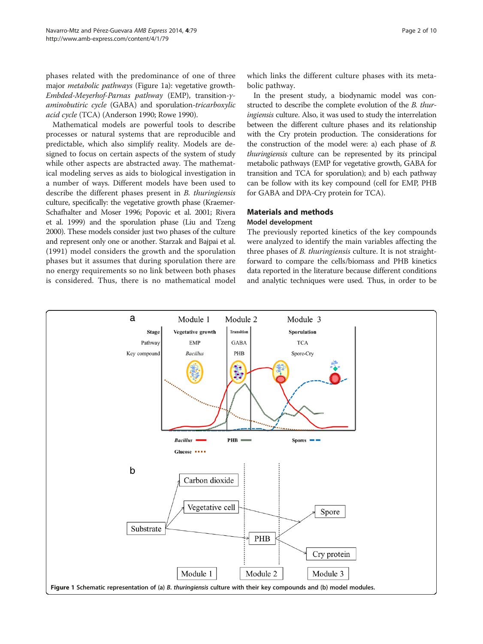<span id="page-1-0"></span>phases related with the predominance of one of three major metabolic pathways (Figure 1a): vegetative growth-Embded-Meyerhof-Parnas pathway (EMP), transition-γaminobutiric cycle (GABA) and sporulation-tricarboxylic acid cycle (TCA) (Anderson [1990](#page-8-0); Rowe [1990\)](#page-9-0).

Mathematical models are powerful tools to describe processes or natural systems that are reproducible and predictable, which also simplify reality. Models are designed to focus on certain aspects of the system of study while other aspects are abstracted away. The mathematical modeling serves as aids to biological investigation in a number of ways. Different models have been used to describe the different phases present in B. thuringiensis culture, specifically: the vegetative growth phase (Kraemer-Schafhalter and Moser [1996;](#page-9-0) Popovic et al. [2001](#page-9-0); Rivera et al. [1999](#page-9-0)) and the sporulation phase (Liu and Tzeng [2000\)](#page-9-0). These models consider just two phases of the culture and represent only one or another. Starzak and Bajpai et al. ([1991](#page-9-0)) model considers the growth and the sporulation phases but it assumes that during sporulation there are no energy requirements so no link between both phases is considered. Thus, there is no mathematical model

which links the different culture phases with its metabolic pathway.

In the present study, a biodynamic model was constructed to describe the complete evolution of the B. thuringiensis culture. Also, it was used to study the interrelation between the different culture phases and its relationship with the Cry protein production. The considerations for the construction of the model were: a) each phase of B. thuringiensis culture can be represented by its principal metabolic pathways (EMP for vegetative growth, GABA for transition and TCA for sporulation); and b) each pathway can be follow with its key compound (cell for EMP, PHB for GABA and DPA-Cry protein for TCA).

#### Materials and methods

## Model development

The previously reported kinetics of the key compounds were analyzed to identify the main variables affecting the three phases of *B. thuringiensis* culture. It is not straightforward to compare the cells/biomass and PHB kinetics data reported in the literature because different conditions and analytic techniques were used. Thus, in order to be

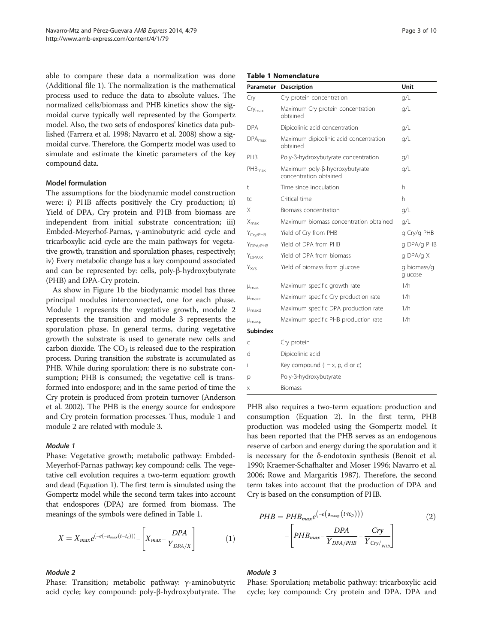<span id="page-2-0"></span>able to compare these data a normalization was done (Additional file [1](#page-8-0)). The normalization is the mathematical process used to reduce the data to absolute values. The normalized cells/biomass and PHB kinetics show the sigmoidal curve typically well represented by the Gompertz model. Also, the two sets of endospores' kinetics data published (Farrera et al. [1998](#page-9-0); Navarro et al. [2008\)](#page-9-0) show a sigmoidal curve. Therefore, the Gompertz model was used to simulate and estimate the kinetic parameters of the key compound data.

#### Model formulation

The assumptions for the biodynamic model construction were: i) PHB affects positively the Cry production; ii) Yield of DPA, Cry protein and PHB from biomass are independent from initial substrate concentration; iii) Embded-Meyerhof-Parnas, γ-aminobutyric acid cycle and tricarboxylic acid cycle are the main pathways for vegetative growth, transition and sporulation phases, respectively; iv) Every metabolic change has a key compound associated and can be represented by: cells, poly-β-hydroxybutyrate (PHB) and DPA-Cry protein.

As show in Figure [1b](#page-1-0) the biodynamic model has three principal modules interconnected, one for each phase. Module 1 represents the vegetative growth, module 2 represents the transition and module 3 represents the sporulation phase. In general terms, during vegetative growth the substrate is used to generate new cells and carbon dioxide. The  $CO<sub>2</sub>$  is released due to the respiration process. During transition the substrate is accumulated as PHB. While during sporulation: there is no substrate consumption; PHB is consumed; the vegetative cell is transformed into endospore; and in the same period of time the Cry protein is produced from protein turnover (Anderson et al. [2002](#page-8-0)). The PHB is the energy source for endospore and Cry protein formation processes. Thus, module 1 and module 2 are related with module 3.

#### Module 1

Phase: Vegetative growth; metabolic pathway: Embded-Meyerhof-Parnas pathway; key compound: cells. The vegetative cell evolution requires a two-term equation: growth and dead (Equation 1). The first term is simulated using the Gompertz model while the second term takes into account that endospores (DPA) are formed from biomass. The meanings of the symbols were defined in Table 1.

$$
X = X_{max}e^{(-e(-u_{max}(t-t_c)))} - \left[X_{max} - \frac{DPA}{Y_{DPA/X}}\right]
$$
 (1)

#### Module 2

Phase: Transition; metabolic pathway: γ-aminobutyric acid cycle; key compound: poly-β-hydroxybutyrate. The

| Parameter                | Description                                              | Unit                   |  |  |
|--------------------------|----------------------------------------------------------|------------------------|--|--|
| Cry                      | Cry protein concentration                                | g/L                    |  |  |
| $Cry_{\text{max}}$       | Maximum Cry protein concentration<br>obtained            | q/L                    |  |  |
| <b>DPA</b>               | Dipicolinic acid concentration                           | q/L                    |  |  |
| DPA <sub>max</sub>       | Maximum dipicolinic acid concentration<br>obtained       | q/L                    |  |  |
| PHB                      | Poly-ß-hydroxybutyrate concentration                     | q/L                    |  |  |
| PHB <sub>max</sub>       | Maximum poly-β-hydroxybutyrate<br>concentration obtained | g/L                    |  |  |
| t                        | Time since inoculation                                   | h                      |  |  |
| tc                       | Critical time                                            | h                      |  |  |
| X                        | <b>Biomass concentration</b>                             | q/L                    |  |  |
| $X_{\text{max}}$         | Maximum biomass concentration obtained                   | g/L                    |  |  |
| Y <sub>Cry/PHB</sub>     | Yield of Cry from PHB                                    | g Cry/g PHB            |  |  |
| Y <sub>DPA/PHR</sub>     | Yield of DPA from PHB                                    | g DPA/g PHB            |  |  |
| $Y_{\text{DPA/X}}$       | Yield of DPA from biomass                                | g DPA/g X              |  |  |
| $Y_{X/S}$                | Yield of biomass from glucose                            | g biomass/g<br>glucose |  |  |
| $\mu_{\text{max}}$       | Maximum specific growth rate                             | 1/h                    |  |  |
| $\mu_{\text{max}}$       | Maximum specific Cry production rate                     | 1/h                    |  |  |
| $\mu_{\text{maxd}}$      | Maximum specific DPA production rate                     | 1/h                    |  |  |
| <b>µ</b> <sub>maxp</sub> | Maximum specific PHB production rate                     | 1/h                    |  |  |
| <b>Subindex</b>          |                                                          |                        |  |  |
| $\mathsf{C}$             | Cry protein                                              |                        |  |  |
| d                        | Dipicolinic acid                                         |                        |  |  |
| i                        | Key compound $(i = x, p, d \text{ or } c)$               |                        |  |  |
| р                        | Poly-β-hydroxybutyrate                                   |                        |  |  |
| X                        | <b>Biomass</b>                                           |                        |  |  |

PHB also requires a two-term equation: production and consumption (Equation 2). In the first term, PHB production was modeled using the Gompertz model. It has been reported that the PHB serves as an endogenous reserve of carbon and energy during the sporulation and it is necessary for the δ-endotoxin synthesis (Benoit et al. [1990](#page-9-0); Kraemer-Schafhalter and Moser [1996](#page-9-0); Navarro et al. [2006](#page-9-0); Rowe and Margaritis [1987](#page-9-0)). Therefore, the second term takes into account that the production of DPA and Cry is based on the consumption of PHB.

$$
PHB = PHB_{max}e^{(-e(\mu_{maxp}(t \cdot tc_p)))}
$$
\n
$$
-\left[PHB_{max} - \frac{DPA}{Y_{DPA/PHB}} - \frac{Cry}{Y_{Cry/_{PHB}}}\right]
$$
\n(2)

#### Module 3

Phase: Sporulation; metabolic pathway: tricarboxylic acid cycle; key compound: Cry protein and DPA. DPA and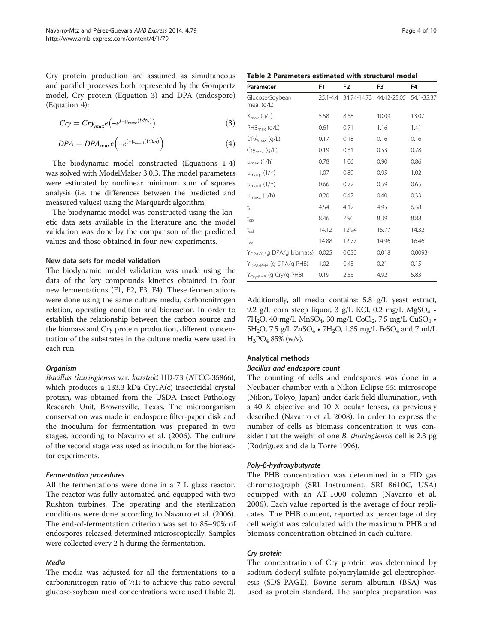<span id="page-3-0"></span>Cry protein production are assumed as simultaneous and parallel processes both represented by the Gompertz model, Cry protein (Equation 3) and DPA (endospore) (Equation 4):

$$
Cry = Cry_{max}e(-e^{(-\mu_{max}(t-tc_c))})
$$
\n(3)

$$
DPA = DPA_{\text{max}}e\left(-e^{(-\mu_{\text{maxd}}(t \cdot tc_d))}\right) \tag{4}
$$

The biodynamic model constructed (Equations [1-](#page-2-0)4) was solved with ModelMaker 3.0.3. The model parameters were estimated by nonlinear minimum sum of squares analysis (i.e. the differences between the predicted and measured values) using the Marquardt algorithm.

The biodynamic model was constructed using the kinetic data sets available in the literature and the model validation was done by the comparison of the predicted values and those obtained in four new experiments.

## New data sets for model validation

The biodynamic model validation was made using the data of the key compounds kinetics obtained in four new fermentations (F1, F2, F3, F4). These fermentations were done using the same culture media, carbon:nitrogen relation, operating condition and bioreactor. In order to establish the relationship between the carbon source and the biomass and Cry protein production, different concentration of the substrates in the culture media were used in each run.

#### Organism

Bacillus thuringiensis var. kurstaki HD-73 (ATCC-35866), which produces a 133.3 kDa Cry1A(c) insecticidal crystal protein, was obtained from the USDA Insect Pathology Research Unit, Brownsville, Texas. The microorganism conservation was made in endospore filter-paper disk and the inoculum for fermentation was prepared in two stages, according to Navarro et al. [\(2006](#page-9-0)). The culture of the second stage was used as inoculum for the bioreactor experiments.

#### Fermentation procedures

All the fermentations were done in a 7 L glass reactor. The reactor was fully automated and equipped with two Rushton turbines. The operating and the sterilization conditions were done according to Navarro et al. ([2006](#page-9-0)). The end-of-fermentation criterion was set to 85–90% of endospores released determined microscopically. Samples were collected every 2 h during the fermentation.

#### Media

The media was adjusted for all the fermentations to a carbon:nitrogen ratio of 7:1; to achieve this ratio several glucose-soybean meal concentrations were used (Table 2).

Table 2 Parameters estimated with structural model

| Parameter                            | F1    | F <sub>2</sub> | F3                                          | F <sub>4</sub> |  |
|--------------------------------------|-------|----------------|---------------------------------------------|----------------|--|
| Glucose-Soybean<br>meal (g/L)        |       |                | 25.1-4.4 34.74-14.73 44.42-25.05 54.1-35.37 |                |  |
| $X_{\text{max}}$ (g/L)               | 5.58  | 8.58           | 10.09                                       | 13.07          |  |
| $PHB_{\text{max}}(g/L)$              | 0.61  | 0.71           | 1.16                                        | 1.41           |  |
| $DPA_{\text{max}}$ (q/L)             | 0.17  | 0.18           | 0.16                                        | 0.16           |  |
| $Cry_{max}$ (g/L)                    | 0.19  | 0.31           | 0.53                                        | 0.78           |  |
| $\mu_{\text{max}}(1/h)$              | 0.78  | 1.06           | 0.90                                        | 0.86           |  |
| $\mu_{\text{maxp}}(1/h)$             | 1.07  | 0.89           | 0.95                                        | 1.02           |  |
| $\mu_{\text{maxd}}(1/h)$             | 0.66  | 0.72           | 0.59                                        | 0.65           |  |
| $\mu_{\text{maxc}}(1/h)$             | 0.20  | 0.42           | 0.40                                        | 0.33           |  |
| $t_c$                                | 4.54  | 4.12           | 4.95                                        | 6.58           |  |
| $\rm t_{cp}$                         | 8.46  | 7.90           | 8.39                                        | 8.88           |  |
| $t_{\rm cd}$                         | 14.12 | 12.94          | 15.77                                       | 14.32          |  |
| $t_{cc}$                             | 14.88 | 12.77          | 14.96                                       | 16.46          |  |
| Y <sub>DPA/X</sub> (g DPA/g biomass) | 0.025 | 0.030          | 0.018                                       | 0.0093         |  |
| Y <sub>DPA/PHB</sub> (g DPA/g PHB)   | 1.02  | 0.43           | 0.21                                        | 0.15           |  |
| Y <sub>Cry/PHB</sub> (g Cry/g PHB)   | 0.19  | 2.53           | 4.92                                        | 5.83           |  |

Additionally, all media contains: 5.8 g/L yeast extract, 9.2 g/L corn steep liquor, 3 g/L KCl, 0.2 mg/L  $MgSO<sub>4</sub>$  . 7H<sub>2</sub>O, 40 mg/L MnSO<sub>4</sub>, 30 mg/L CoCl<sub>2</sub>, 7.5 mg/L CuSO<sub>4</sub> • 5H<sub>2</sub>O, 7.5 g/L ZnSO<sub>4</sub> • 7H<sub>2</sub>O, 1.35 mg/L FeSO<sub>4</sub> and 7 ml/L  $H_3PO_4 85\% (w/v)$ .

## Analytical methods

#### Bacillus and endospore count

The counting of cells and endospores was done in a Neubauer chamber with a Nikon Eclipse 55i microscope (Nikon, Tokyo, Japan) under dark field illumination, with a 40 X objective and 10 X ocular lenses, as previously described (Navarro et al. [2008\)](#page-9-0). In order to express the number of cells as biomass concentration it was consider that the weight of one *B. thuringiensis* cell is 2.3 pg (Rodríguez and de la Torre [1996](#page-9-0)).

#### Poly-β-hydroxybutyrate

The PHB concentration was determined in a FID gas chromatograph (SRI Instrument, SRI 8610C, USA) equipped with an AT-1000 column (Navarro et al. [2006](#page-9-0)). Each value reported is the average of four replicates. The PHB content, reported as percentage of dry cell weight was calculated with the maximum PHB and biomass concentration obtained in each culture.

#### Cry protein

The concentration of Cry protein was determined by sodium dodecyl sulfate polyacrylamide gel electrophoresis (SDS-PAGE). Bovine serum albumin (BSA) was used as protein standard. The samples preparation was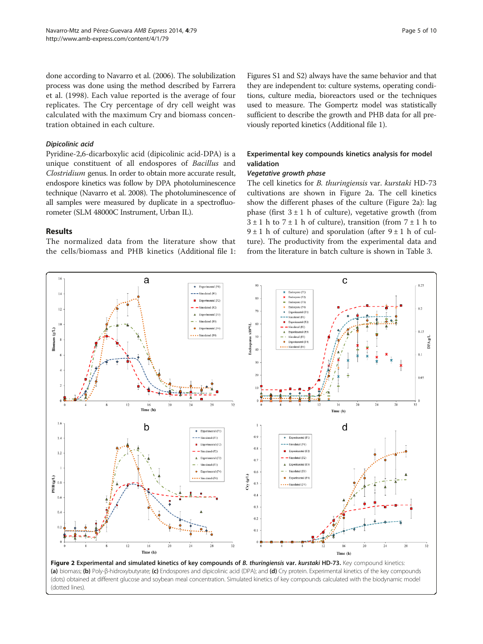<span id="page-4-0"></span>done according to Navarro et al. ([2006\)](#page-9-0). The solubilization process was done using the method described by Farrera et al. ([1998\)](#page-9-0). Each value reported is the average of four replicates. The Cry percentage of dry cell weight was calculated with the maximum Cry and biomass concentration obtained in each culture.

## Dipicolinic acid

Pyridine-2,6-dicarboxylic acid (dipicolinic acid-DPA) is a unique constituent of all endospores of Bacillus and Clostridium genus. In order to obtain more accurate result, endospore kinetics was follow by DPA photoluminescence technique (Navarro et al. [2008](#page-9-0)). The photoluminescence of all samples were measured by duplicate in a spectrofluorometer (SLM 48000C Instrument, Urban IL).

## Results

The normalized data from the literature show that the cells/biomass and PHB kinetics (Additional file [1](#page-8-0): Figures S1 and S2) always have the same behavior and that they are independent to: culture systems, operating conditions, culture media, bioreactors used or the techniques used to measure. The Gompertz model was statistically sufficient to describe the growth and PHB data for all previously reported kinetics (Additional file [1](#page-8-0)).

## Experimental key compounds kinetics analysis for model validation

## Vegetative growth phase

The cell kinetics for B. thuringiensis var. kurstaki HD-73 cultivations are shown in Figure 2a. The cell kinetics show the different phases of the culture (Figure 2a): lag phase (first  $3 \pm 1$  h of culture), vegetative growth (from  $3 \pm 1$  h to  $7 \pm 1$  h of culture), transition (from  $7 \pm 1$  h to  $9 \pm 1$  h of culture) and sporulation (after  $9 \pm 1$  h of culture). The productivity from the experimental data and from the literature in batch culture is shown in Table [3](#page-5-0).

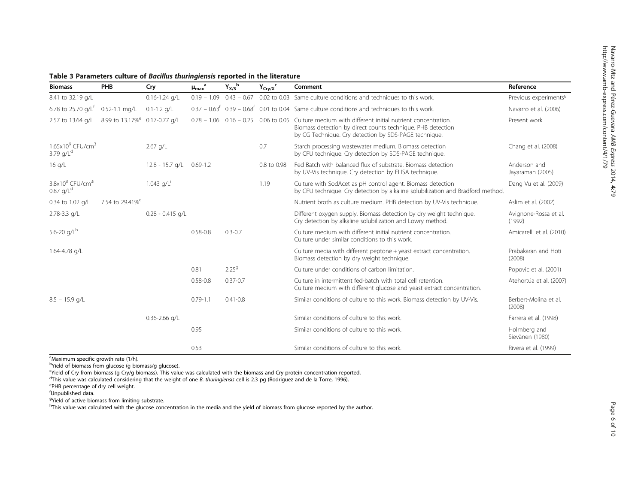| <b>Biomass</b>                                                      | PHB                         | Cry                      | $\mu_{\rm max}^{\qquad a}$ | $Y_{X/S}^{\qquad b}$ | $Y_{\text{Cry/X}}^{\text{c}}$ | Comment                                                                                                                                                                                                        | Reference                         |
|---------------------------------------------------------------------|-----------------------------|--------------------------|----------------------------|----------------------|-------------------------------|----------------------------------------------------------------------------------------------------------------------------------------------------------------------------------------------------------------|-----------------------------------|
| 8.41 to 32.19 g/L                                                   |                             | $0.16 - 1.24$ g/L        | $0.19 - 1.09$              |                      |                               | $0.43 - 0.67$ 0.02 to 0.03 Same culture conditions and techniques to this work.                                                                                                                                | Previous experiments <sup>9</sup> |
| 6.78 to 25.70 g/L <sup>f</sup>                                      | $0.52 - 1.1$ mg/L           | $0.1 - 1.2$ g/L          | $0.37 - 0.63^{\dagger}$    |                      |                               | $0.39 - 0.68$ <sup>f</sup> 0.01 to 0.04 Same culture conditions and techniques to this work.                                                                                                                   | Navarro et al. (2006)             |
| 2.57 to 13.64 g/L 8.99 to 13.17% <sup>e</sup> 0.17-0.77 g/L         |                             |                          | $0.78 - 1.06$              |                      |                               | 0.16 - 0.25 0.06 to 0.05 Culture medium with different initial nutrient concentration.<br>Biomass detection by direct counts technique. PHB detection<br>by CG Technique. Cry detection by SDS-PAGE technique. | Present work                      |
| $1.65\times10^{9}$ CFU/cm <sup>3</sup><br>3.79 g/L <sup>d</sup>     |                             | $2.67$ g/L               |                            |                      | 0.7                           | Starch processing wastewater medium. Biomass detection<br>by CFU technique. Cry detection by SDS-PAGE technique.                                                                                               | Chang et al. (2008)               |
| 16q/L                                                               |                             | 12.8 - 15.7 g/L 0.69-1.2 |                            |                      | 0.8 to 0.98                   | Fed Batch with balanced flux of substrate. Biomass detection<br>by UV-Vis technique. Cry detection by ELISA technique.                                                                                         | Anderson and<br>Jayaraman (2005)  |
| 3.8x10 <sup>8</sup> CFU/cm <sup>3i</sup><br>$0.87$ g/L <sup>d</sup> |                             | 1.043 $q/L$ <sup>i</sup> |                            |                      | 1.19                          | Culture with SodAcet as pH control agent. Biomass detection<br>by CFU technique. Cry detection by alkaline solubilization and Bradford method.                                                                 | Dang Vu et al. (2009)             |
| 0.34 to 1.02 g/L                                                    | 7.54 to 29.41% <sup>e</sup> |                          |                            |                      |                               | Nutrient broth as culture medium. PHB detection by UV-Vis technique.                                                                                                                                           | Aslim et al. (2002)               |
| 2.78-3.3 g/L                                                        |                             | $0.28 - 0.415$ g/L       |                            |                      |                               | Different oxygen supply. Biomass detection by dry weight technique.<br>Cry detection by alkaline solubilization and Lowry method.                                                                              | Avignone-Rossa et al.<br>(1992)   |
| 5.6-20 $q/Lh$                                                       |                             |                          | $0.58 - 0.8$               | $0.3 - 0.7$          |                               | Culture medium with different initial nutrient concentration.<br>Culture under similar conditions to this work.                                                                                                | Amicarelli et al. (2010)          |
| 1.64-4.78 g/L                                                       |                             |                          |                            |                      |                               | Culture media with different peptone + yeast extract concentration.<br>Biomass detection by dry weight technique.                                                                                              | Prabakaran and Hoti<br>(2008)     |
|                                                                     |                             |                          | 0.81                       | 2.25 <sup>9</sup>    |                               | Culture under conditions of carbon limitation.                                                                                                                                                                 | Popovic et al. (2001)             |
|                                                                     |                             |                          | $0.58 - 0.8$               | $0.37 - 0.7$         |                               | Culture in intermittent fed-batch with total cell retention.<br>Culture medium with different glucose and yeast extract concentration.                                                                         | Atehortúa et al. (2007)           |
| $8.5 - 15.9$ g/L                                                    |                             |                          | $0.79 - 1.1$               | $0.41 - 0.8$         |                               | Similar conditions of culture to this work. Biomass detection by UV-Vis.                                                                                                                                       | Berbert-Molina et al.<br>(2008)   |
|                                                                     |                             | $0.36 - 2.66$ g/L        |                            |                      |                               | Similar conditions of culture to this work.                                                                                                                                                                    | Farrera et al. (1998)             |
|                                                                     |                             |                          | 0.95                       |                      |                               | Similar conditions of culture to this work.                                                                                                                                                                    | Holmberg and<br>Sievänen (1980)   |
|                                                                     |                             |                          | 0.53                       |                      |                               | Similar conditions of culture to this work.                                                                                                                                                                    | Rivera et al. (1999)              |

## <span id="page-5-0"></span>Table 3 Parameters culture of Bacillus thuringiensis reported in the literature

<sup>a</sup>Maximum specific growth rate (1/h).

<sup>b</sup>Yield of biomass from glucose (g biomass/g glucose).

c Yield of Cry from biomass (g Cry/g biomass). This value was calculated with the biomass and Cry protein concentration reported.

<sup>d</sup>This value was calculated considering that the weight of one *B. thuringiensis* cell is 2.3 pg (Rodriguez and de la Torre, 1996).<br><sup>e</sup>PHR percentage of dry cell weight

PHB percentage of dry cell weight.

f Unpublished data.

<sup>g</sup>Yield of active biomass from limiting substrate.

<sup>h</sup>This value was calculated with the glucose concentration in the media and the yield of biomass from glucose reported by the author.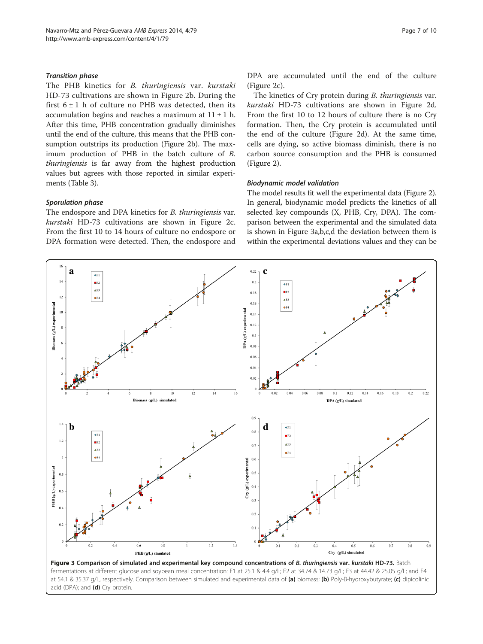#### Transition phase

The PHB kinetics for B. thuringiensis var. kurstaki HD-73 cultivations are shown in Figure [2b](#page-4-0). During the first  $6 \pm 1$  h of culture no PHB was detected, then its accumulation begins and reaches a maximum at  $11 \pm 1$  h. After this time, PHB concentration gradually diminishes until the end of the culture, this means that the PHB consumption outstrips its production (Figure [2b](#page-4-0)). The maximum production of PHB in the batch culture of B. thuringiensis is far away from the highest production values but agrees with those reported in similar experiments (Table [3](#page-5-0)).

#### Sporulation phase

a

 $14$ 

 $12$ 

 $10$ 

 $n$ ass  $(g/L)$  experimental

 $\bullet$ F1

 $\blacksquare$ F2

 $\triangle$ F3

 $\bullet$ F4

The endospore and DPA kinetics for B. thuringiensis var. kurstaki HD-73 cultivations are shown in Figure [2c](#page-4-0). From the first 10 to 14 hours of culture no endospore or DPA formation were detected. Then, the endospore and DPA are accumulated until the end of the culture (Figure [2c](#page-4-0)).

The kinetics of Cry protein during B. thuringiensis var. kurstaki HD-73 cultivations are shown in Figure [2](#page-4-0)d. From the first 10 to 12 hours of culture there is no Cry formation. Then, the Cry protein is accumulated until the end of the culture (Figure [2d](#page-4-0)). At the same time, cells are dying, so active biomass diminish, there is no carbon source consumption and the PHB is consumed (Figure [2\)](#page-4-0).

## Biodynamic model validation

 $\mathbf c$  $0.22$ 

 $\bullet$ F1

 $\blacksquare$ 

 $\triangle$ F3

 $\bullet$ F4

 $0.2$ 

 $0.18$ 

 $0.16$ 

 $0.1$ 

DPA (g/L) experi  $0.12$  $\overline{0}$ .  $0.0$  $0.06$  $0.04$  $0.0$ 

The model results fit well the experimental data (Figure [2](#page-4-0)). In general, biodynamic model predicts the kinetics of all selected key compounds (X, PHB, Cry, DPA). The comparison between the experimental and the simulated data is shown in Figure 3a,b,c,d the deviation between them is within the experimental deviations values and they can be

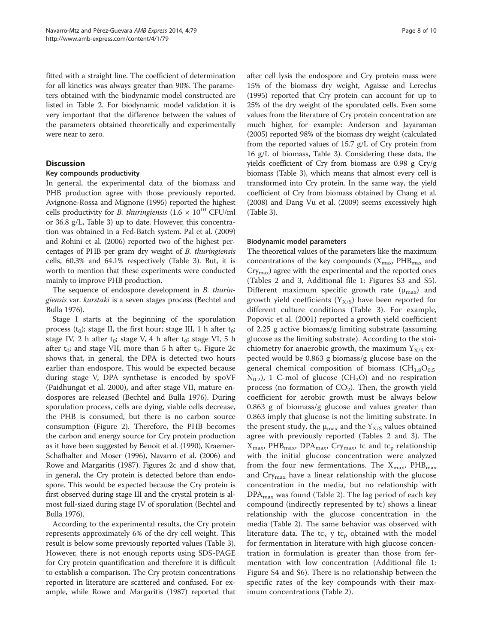fitted with a straight line. The coefficient of determination for all kinetics was always greater than 90%. The parameters obtained with the biodynamic model constructed are listed in Table [2.](#page-3-0) For biodynamic model validation it is very important that the difference between the values of the parameters obtained theoretically and experimentally were near to zero.

## **Discussion**

#### Key compounds productivity

In general, the experimental data of the biomass and PHB production agree with those previously reported. Avignone-Rossa and Mignone ([1995\)](#page-8-0) reported the highest cells productivity for *B. thuringiensis* (1.6  $\times$  10<sup>10</sup> CFU/ml or 36.8 g/L, Table [3](#page-5-0)) up to date. However, this concentration was obtained in a Fed-Batch system. Pal et al. [\(2009](#page-9-0)) and Rohini et al. ([2006](#page-9-0)) reported two of the highest percentages of PHB per gram dry weight of B. thuringiensis cells, 60.3% and 64.1% respectively (Table [3\)](#page-5-0). But, it is worth to mention that these experiments were conducted mainly to improve PHB production.

The sequence of endospore development in *B. thurin*giensis var. kurstaki is a seven stages process (Bechtel and Bulla [1976\)](#page-8-0).

Stage I starts at the beginning of the sporulation process  $(t_0)$ ; stage II, the first hour; stage III, 1 h after  $t_0$ ; stage IV, 2 h after  $t_0$ ; stage V, 4 h after  $t_0$ ; stage VI, 5 h after  $t_0$ ; and stage VII, more than 5 h after  $t_0$ . Figure [2](#page-4-0)c shows that, in general, the DPA is detected two hours earlier than endospore. This would be expected because during stage V, DPA synthetase is encoded by spoVF (Paidhungat et al. [2000\)](#page-9-0), and after stage VII, mature endospores are released (Bechtel and Bulla [1976](#page-8-0)). During sporulation process, cells are dying, viable cells decrease, the PHB is consumed, but there is no carbon source consumption (Figure [2\)](#page-4-0). Therefore, the PHB becomes the carbon and energy source for Cry protein production as it have been suggested by Benoit et al. [\(1990\)](#page-9-0), Kraemer-Schafhalter and Moser [\(1996](#page-9-0)), Navarro et al. [\(2006\)](#page-9-0) and Rowe and Margaritis [\(1987\)](#page-9-0). Figures [2](#page-4-0)c and d show that, in general, the Cry protein is detected before than endospore. This would be expected because the Cry protein is first observed during stage III and the crystal protein is almost full-sized during stage IV of sporulation (Bechtel and Bulla [1976\)](#page-8-0).

According to the experimental results, the Cry protein represents approximately 6% of the dry cell weight. This result is below some previously reported values (Table [3](#page-5-0)). However, there is not enough reports using SDS-PAGE for Cry protein quantification and therefore it is difficult to establish a comparison. The Cry protein concentrations reported in literature are scattered and confused. For example, while Rowe and Margaritis ([1987](#page-9-0)) reported that

after cell lysis the endospore and Cry protein mass were 15% of the biomass dry weight, Agaisse and Lereclus ([1995](#page-8-0)) reported that Cry protein can account for up to 25% of the dry weight of the sporulated cells. Even some values from the literature of Cry protein concentration are much higher, for example: Anderson and Jayaraman ([2005](#page-8-0)) reported 98% of the biomass dry weight (calculated from the reported values of 15.7 g/L of Cry protein from 16 g/L of biomass, Table [3\)](#page-5-0). Considering these data, the yields coefficient of Cry from biomass are 0.98 g Cry/g biomass (Table [3](#page-5-0)), which means that almost every cell is transformed into Cry protein. In the same way, the yield coefficient of Cry from biomass obtained by Chang et al. ([2008](#page-9-0)) and Dang Vu et al. [\(2009\)](#page-9-0) seems excessively high (Table [3](#page-5-0)).

## Biodynamic model parameters

The theoretical values of the parameters like the maximum concentrations of the key compounds  $(X_{\text{max}})$  PHB<sub>max</sub> and  $Cry<sub>max</sub>$ ) agree with the experimental and the reported ones (Tables [2](#page-3-0) and [3](#page-5-0), Additional file [1:](#page-8-0) Figures S3 and S5). Different maximum specific growth rate  $(\mu_{\text{max}})$  and growth yield coefficients  $(Y_{X/S})$  have been reported for different culture conditions (Table [3\)](#page-5-0). For example, Popovic et al. ([2001\)](#page-9-0) reported a growth yield coefficient of 2.25 g active biomass/g limiting substrate (assuming glucose as the limiting substrate). According to the stoichiometry for anaerobic growth, the maximum  $Y_{X/S}$  expected would be 0.863 g biomass/g glucose base on the general chemical composition of biomass  $(CH_{1.8}O_{0.5}$  $N_{0.2}$ ), 1 C-mol of glucose (CH<sub>2</sub>O) and no respiration process (no formation of  $CO<sub>2</sub>$ ). Then, the growth yield coefficient for aerobic growth must be always below 0.863 g of biomass/g glucose and values greater than 0.863 imply that glucose is not the limiting substrate. In the present study, the  $\mu_{\text{max}}$  and the  $Y_{X/S}$  values obtained agree with previously reported (Tables [2](#page-3-0) and [3\)](#page-5-0). The  $X_{\text{max}}$ , PHB<sub>max</sub>, DPA<sub>max</sub>, Cry<sub>max</sub>, tc and tc<sub>p</sub> relationship with the initial glucose concentration were analyzed from the four new fermentations. The  $X_{\text{max}}$ , PHB<sub>max</sub> and  $\mathrm{Cry}_{\mathrm{max}}$  have a linear relationship with the glucose concentration in the media, but no relationship with  $DPA<sub>max</sub>$  was found (Table [2\)](#page-3-0). The lag period of each key compound (indirectly represented by tc) shows a linear relationship with the glucose concentration in the media (Table [2\)](#page-3-0). The same behavior was observed with literature data. The tc<sub>x</sub> y tc<sub>p</sub> obtained with the model for fermentation in literature with high glucose concentration in formulation is greater than those from fermentation with low concentration (Additional file [1](#page-8-0): Figure S4 and S6). There is no relationship between the specific rates of the key compounds with their maximum concentrations (Table [2](#page-3-0)).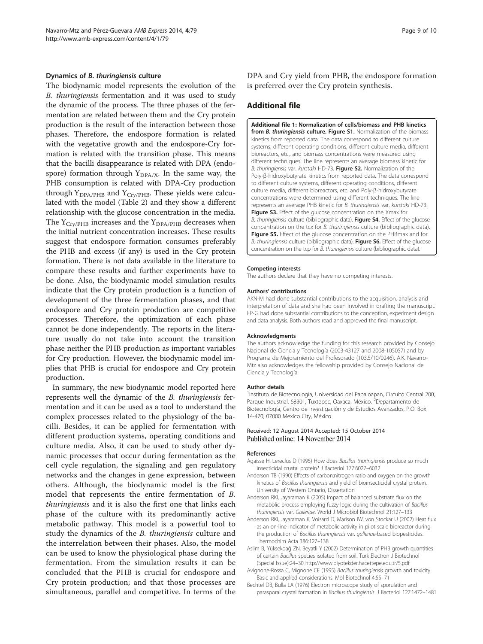#### <span id="page-8-0"></span>Dynamics of B. thuringiensis culture

The biodynamic model represents the evolution of the B. thuringiensis fermentation and it was used to study the dynamic of the process. The three phases of the fermentation are related between them and the Cry protein production is the result of the interaction between those phases. Therefore, the endospore formation is related with the vegetative growth and the endospore-Cry formation is related with the transition phase. This means that the bacilli disappearance is related with DPA (endospore) formation through  $Y_{DPA/X}$ . In the same way, the PHB consumption is related with DPA-Cry production through  $Y_{DPA/PHB}$  and  $Y_{Crv/PHB}$ . These yields were calculated with the model (Table [2](#page-3-0)) and they show a different relationship with the glucose concentration in the media. The  $Y_{Cry/PHB}$  increases and the  $Y_{DPA/PHB}$  decreases when the initial nutrient concentration increases. These results suggest that endospore formation consumes preferably the PHB and excess (if any) is used in the Cry protein formation. There is not data available in the literature to compare these results and further experiments have to be done. Also, the biodynamic model simulation results indicate that the Cry protein production is a function of development of the three fermentation phases, and that endospore and Cry protein production are competitive processes. Therefore, the optimization of each phase cannot be done independently. The reports in the literature usually do not take into account the transition phase neither the PHB production as important variables for Cry production. However, the biodynamic model implies that PHB is crucial for endospore and Cry protein production.

In summary, the new biodynamic model reported here represents well the dynamic of the B. thuringiensis fermentation and it can be used as a tool to understand the complex processes related to the physiology of the bacilli. Besides, it can be applied for fermentation with different production systems, operating conditions and culture media. Also, it can be used to study other dynamic processes that occur during fermentation as the cell cycle regulation, the signaling and gen regulatory networks and the changes in gene expression, between others. Although, the biodynamic model is the first model that represents the entire fermentation of B. thuringiensis and it is also the first one that links each phase of the culture with its predominantly active metabolic pathway. This model is a powerful tool to study the dynamics of the *B. thuringiensis* culture and the interrelation between their phases. Also, the model can be used to know the physiological phase during the fermentation. From the simulation results it can be concluded that the PHB is crucial for endospore and Cry protein production; and that those processes are simultaneous, parallel and competitive. In terms of the DPA and Cry yield from PHB, the endospore formation is preferred over the Cry protein synthesis.

## Additional file

[Additional file 1:](http://www.amb-express.com/content/supplementary/s13568-014-0079-y-s1.pdf) Normalization of cells/biomass and PHB kinetics from B. thuringiensis culture. Figure S1. Normalization of the biomass kinetics from reported data. The data correspond to different culture systems, different operating conditions, different culture media, different bioreactors, etc., and biomass concentrations were measured using different techniques. The line represents an average biomass kinetic for B. thuringiensis var. kurstaki HD-73. Figure S2. Normalization of the Poly-β-hidroxybutyrate kinetics from reported data. The data correspond to different culture systems, different operating conditions, different culture media, different bioreactors, etc. and Poly-β-hidroxybutyrate concentrations were determined using different techniques. The line represents an average PHB kinetic for B. thuringiensis var. kurstaki HD-73. Figure S3. Effect of the glucose concentration on the Xmax for B. thuringiensis culture (bibliographic data). Figure S4. Effect of the glucose concentration on the tcx for B. thuringiensis culture (bibliographic data). Figure S5. Effect of the glucose concentration on the PHBmax and for B. thuringiensis culture (bibliographic data). Figure S6. Effect of the glucose concentration on the tcp for B. thuringiensis culture (bibliographic data).

#### Competing interests

The authors declare that they have no competing interests.

#### Authors' contributions

AKN-M had done substantial contributions to the acquisition, analysis and interpretation of data and she had been involved in drafting the manuscript. FP-G had done substantial contributions to the conception, experiment design and data analysis. Both authors read and approved the final manuscript.

#### Acknowledgments

The authors acknowledge the funding for this research provided by Consejo Nacional de Ciencia y Tecnología (2003-43127 and 2008-105057) and by Programa de Mejoramiento del Profesorado (103.5/10/0246). A.K. Navarro-Mtz also acknowledges the fellowship provided by Consejo Nacional de Ciencia y Tecnología.

#### Author details

1Instituto de Biotecnología, Universidad del Papaloapan, Circuito Central 200 Parque Industrial, 68301, Tuxtepec, Oaxaca, México. <sup>2</sup>Departamento de Biotecnología, Centro de Investigación y de Estudios Avanzados, P.O. Box 14-470, 07000 Mexico City, México.

#### Received: 12 August 2014 Accepted: 15 October 2014 Published online: 14 November 2014

#### References

- Agaisse H, Lereclus D (1995) How does Bacillus thuringiensis produce so much insecticidal crustal protein? J Bacteriol 177:6027–6032
- Anderson TB (1990) Effects of carbon:nitrogen ratio and oxygen on the growth kinetics of Bacillus thuringiensis and yield of bioinsecticidal crystal protein. University of Western Ontario, Dissertation
- Anderson RKI, Jayaraman K (2005) Impact of balanced substrate flux on the metabolic process employing fuzzy logic during the cultivation of Bacillus thuringiensis var. Galleriae. World J Microbiol Biotechnol 21:127–<sup>133</sup>
- Anderson RKI, Jayaraman K, Voisard D, Marison IW, von Stockar U (2002) Heat flux as an on-line indicator of metabolic activity in pilot scale bioreactor during the production of Bacillus thuringiensis var. galleriae-based biopesticides. Thermochim Acta 386:127–138
- Aslim B, Yüksekdağ ZN, Beyatli Y (2002) Determination of PHB growth quantities of certain Bacillus species isolated from soil. Turk Electron J Biotechnol (Special Issue):24–30<http://www.biyotekder.hacettepe.edu.tr/5.pdf>
- Avignone-Rossa C, Mignone CF (1995) Bacillus thuringiensis growth and toxicity. Basic and applied considerations. Mol Biotechnol 4:55–71
- Bechtel DB, Bulla LA (1976) Electron microscope study of sporulation and parasporal crystal formation in Bacillus thuringiensis. J Bacteriol 127:1472–<sup>1481</sup>